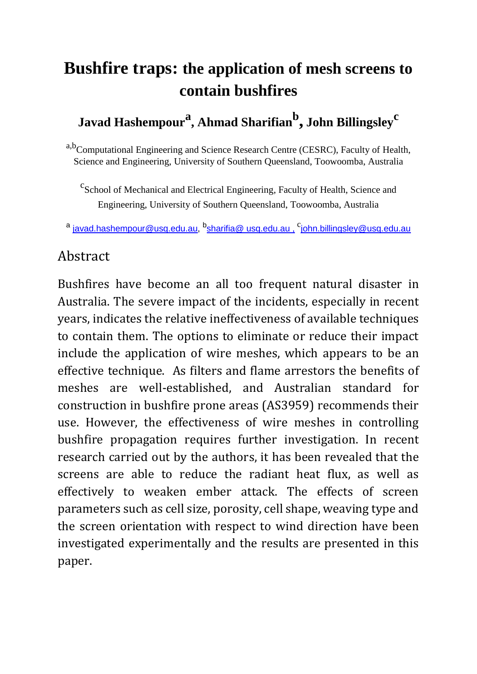## **Bushfire traps: the application of mesh screens to contain bushfires**

## **Javad Hashempour<sup>a</sup> , Ahmad Sharifian<sup>b</sup> , John Billingsley<sup>c</sup>**

a,b<sub>Computational</sub> Engineering and Science Research Centre (CESRC), Faculty of Health, Science and Engineering, University of Southern Queensland, Toowoomba, Australia

<sup>c</sup> School of Mechanical and Electrical Engineering, Faculty of Health, Science and Engineering, University of Southern Queensland, Toowoomba, Australia

<sup>a</sup> [javad.hashempour@usq.edu.au,](file:///C:/Users/sharifia/AppData/Local/Microsoft/Windows/sharifia/AppData/Local/Microsoft/Windows/Temporary%20Internet%20Files/Content.Outlook/Q4UUM6YI/javad.hashempour@usq.edu.au) <sup>b</sup>[sharifia@ usq.edu.au](mailto:sharifian@%20usq.edu.au) , <sup>c</sup>john.billingsley@usq.edu.au

## Abstract

Bushfires have become an all too frequent natural disaster in Australia. The severe impact of the incidents, especially in recent years, indicates the relative ineffectiveness of available techniques to contain them. The options to eliminate or reduce their impact include the application of wire meshes, which appears to be an effective technique. As filters and flame arrestors the benefits of meshes are well-established, and Australian standard for construction in bushfire prone areas (AS3959) recommends their use. However, the effectiveness of wire meshes in controlling bushfire propagation requires further investigation. In recent research carried out by the authors, it has been revealed that the screens are able to reduce the radiant heat flux, as well as effectively to weaken ember attack. The effects of screen parameters such as cell size, porosity, cell shape, weaving type and the screen orientation with respect to wind direction have been investigated experimentally and the results are presented in this paper.